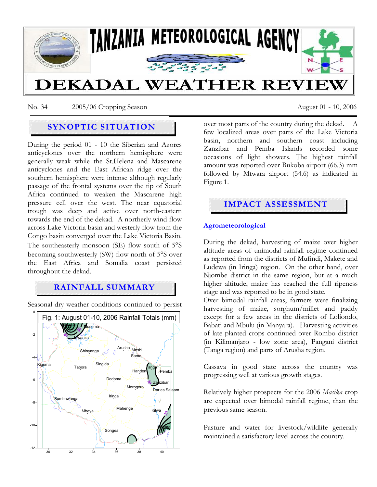

No. 34 2005/06 Cropping Season August 01 - 10, 2006

# **SYNOPTIC SITUATION**

During the period 01 - 10 the Siberian and Azores anticyclones over the northern hemisphere were generally weak while the St.Helena and Mascarene anticyclones and the East African ridge over the southern hemisphere were intense although regularly passage of the frontal systems over the tip of South Africa continued to weaken the Mascarene high pressure cell over the west. The near equatorial trough was deep and active over north-eastern towards the end of the dekad. A northerly wind flow across Lake Victoria basin and westerly flow from the Congo basin converged over the Lake Victoria Basin. The southeasterly monsoon (SE) flow south of 5°S becoming southwesterly (SW) flow north of 5°S over the East Africa and Somalia coast persisted throughout the dekad.

# **RAINFALL SUMMARY**

Seasonal dry weather conditions continued to persist 0



over most parts of the country during the dekad. A few localized areas over parts of the Lake Victoria basin, northern and southern coast including Zanzibar and Pemba Islands recorded some occasions of light showers. The highest rainfall amount was reported over Bukoba airport (66.3) mm followed by Mtwara airport (54.6) as indicated in Figure 1.



## **Agrometeorological**

During the dekad, harvesting of maize over higher altitude areas of unimodal rainfall regime continued as reported from the districts of Mufindi, Makete and Ludewa (in Iringa) region. On the other hand, over Njombe district in the same region, but at a much higher altitude, maize has reached the full ripeness stage and was reported to be in good state.

Over bimodal rainfall areas, farmers were finalizing harvesting of maize, sorghum/millet and paddy except for a few areas in the districts of Loliondo, Babati and Mbulu (in Manyara). Harvesting activities of late planted crops continued over Rombo district (in Kilimanjaro - low zone area), Pangani district (Tanga region) and parts of Arusha region.

Cassava in good state across the country was progressing well at various growth stages.

Relatively higher prospects for the 2006 *Masika* crop are expected over bimodal rainfall regime, than the previous same season.

Pasture and water for livestock/wildlife generally maintained a satisfactory level across the country.